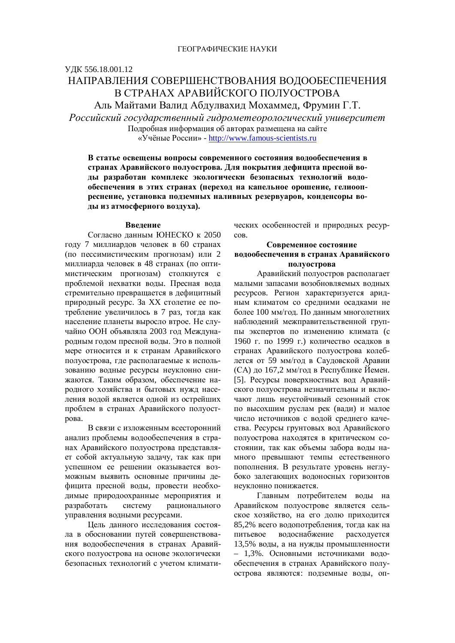# ɍȾɄ 556.18.001.12 НАПРАВЛЕНИЯ СОВЕРШЕНСТВОВАНИЯ ВОЛООБЕСПЕЧЕНИЯ В СТРАНАХ АРАВИЙСКОГО ПОЛУОСТРОВА Аль Майтами Валид Абдулвахид Мохаммед, Фрумин Г.Т.

Российский государственный гидрометеорологический университет Подробная информация об авторах размещена на сайте «Учёные России» - http://www.famous-scientists.ru

В статье освещены вопросы современного состояния водообеспечения в странах Аравийского полуострова. Для покрытия дефицита пресной воды разработан комплекс экологически безопасных технологий водо**ибеспечения в этих странах (переход на капельное орошение, гелиооп**реснение, установка подземных наливных резервуаров, конденсоры воды из атмосферного воздуха).

#### **Ввеление**

Согласно данным ЮНЕСКО к 2050 году 7 миллиардов человек в 60 странах (по пессимистическим прогнозам) или 2 миллиарда человек в 48 странах (по оптимистическим прогнозам) столкнутся с проблемой нехватки волы. Пресная вола стремительно превращается в дефицитный природный ресурс. За XX столетие ее потребление увеличилось в 7 раз, тогда как население планеты выросло втрое. Не случайно ООН объявляла 2003 год Международным годом пресной воды. Это в полной мере относится и к странам Аравийского полуострова, где располагаемые к использованию водные ресурсы неуклонно снижаются. Таким образом, обеспечение народного хозяйства и бытовых нужд населения водой является одной из острейших проблем в странах Аравийского полуострова.

В связи с изложенным всесторонний анализ проблемы водообеспечения в странах Аравийского полуострова представляет собой актуальную задачу, так как при успешном ее решении оказывается возможным выявить основные причины дефицита пресной воды, провести необходимые природоохранные мероприятия и разработать систему рационального управления водными ресурсами.

Цель данного исследования состояла в обосновании путей совершенствования водообеспечения в странах Аравийского полуострова на основе экологически безопасных технологий с учетом климатических особенностей и природных ресур-COB.

### Современное состояние **водообеспечения в странах Аравийского** полуострова

Аравийский полуостров располагает малыми запасами возобновляемых водных ресурсов. Регион характеризуется аридным климатом со средними осадками не более 100 мм/год. По данным многолетних наблюдений межправительственной группы экспертов по изменению климата (с 1960 г. по 1999 г.) количество осадков в странах Аравийского полуострова колеблется от 59 мм/год в Саудовской Аравии (СА) до 167,2 мм/год в Республике Йемен. [5]. Ресурсы поверхностных вод Аравийского полуострова незначительны и включают лишь неустойчивый сезонный сток по высохшим руслам рек (вади) и малое число источников с водой среднего качества. Ресурсы грунтовых вод Аравийского полуострова находятся в критическом состоянии, так как объемы забора воды намного превышают темпы естественного пополнения. В результате уровень неглубоко залегающих водоносных горизонтов неуклонно понижается.

Главным потребителем воды на Аравийском полуострове является сельское хозяйство, на его долю приходится 85,2% всего водопотребления, тогда как на питьевое водоснабжение расходуется 13,5% воды, а на нужды промышленности - 1,3%. Основными источниками водообеспечения в странах Аравийского полуострова являются: подземные воды, оп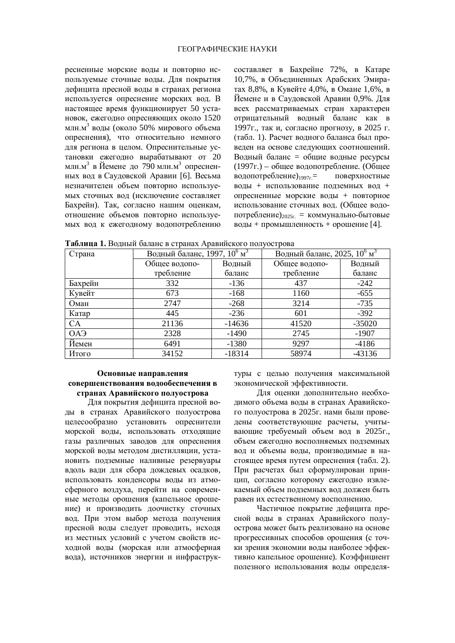ресненные морские воды и повторно используемые сточные воды. Для покрытия дефицита пресной воды в странах региона используется опреснение морских вод. В настоящее время функционирует 50 установок, ежегодно опресняющих около 1520 млн.м<sup>3</sup> воды (около 50% мирового объема опреснения), что относительно немного для региона в целом. Опреснительные установки ежеголно вырабатывают от 20 млн.м<sup>3</sup> в Йемене до 790 млн.м<sup>3</sup> опресненных вод в Саудовской Аравии [6]. Весьма незначителен объем повторно используемых сточных вод (исключение составляет Бахрейн). Так, согласно нашим оценкам, отношение объемов повторно используемых вод к ежегодному водопотреблению составляет в Бахрейне 72%, в Катаре 10,7%, в Объединенных Арабских Эмиратах 8,8%, в Кувейте 4,0%, в Омане 1,6%, в Йемене и в Саудовской Аравии 0.9%. Лля всех рассматриваемых стран характерен отрицательный водный баланс как в 1997г., так и, согласно прогнозу, в 2025 г. (табл. 1). Расчет водного баланса был проведен на основе следующих соотношений. Водный баланс = общие водные ресурсы  $(1997r.)$  – общее водопотребление. (Общее водопотребление)<sub>1997</sub> = поверхностные воды + использование подземных вод + опресненные морские воды + повторное использование сточных вод. (Общее водопотребление)<sub>2025г.</sub> = коммунально-бытовые  $BOJH + HPOMHHHOCTB + OPOHCHHC [4].$ 

Таблица 1. Водный баланс в странах Аравийского полуострова

| Страна  | Водный баланс, 1997, $10^6 \frac{\overline{M}^3}{M}$ |          | Водный баланс, 2025, $10^6 \text{ m}^3$ |          |
|---------|------------------------------------------------------|----------|-----------------------------------------|----------|
|         | Общее водопо-                                        | Водный   | Общее водопо-                           | Водный   |
|         | требление                                            | баланс   | требление                               | баланс   |
| Бахрейн | 332                                                  | $-136$   | 437                                     | $-242$   |
| Кувейт  | 673                                                  | $-168$   | 1160                                    | $-655$   |
| Оман    | 2747                                                 | $-268$   | 3214                                    | $-735$   |
| Катар   | 445                                                  | $-236$   | 601                                     | $-392$   |
| CA      | 21136                                                | $-14636$ | 41520                                   | $-35020$ |
| ОАЭ     | 2328                                                 | $-1490$  | 2745                                    | $-1907$  |
| Йемен   | 6491                                                 | $-1380$  | 9297                                    | $-4186$  |
| Итого   | 34152                                                | $-18314$ | 58974                                   | $-43136$ |

## Основные направления совершенствования водообеспечения в странах Аравийского полуострова

Для покрытия дефицита пресной воды в странах Аравийского полуострова целесообразно установить опреснители морской воды, использовать отходящие газы различных заводов для опреснения морской воды методом дистилляции, установить подземные наливные резервуары вдоль вади для сбора дождевых осадков, использовать конденсоры воды из атмосферного воздуха, перейти на современные методы орошения (капельное орошение) и производить доочистку сточных вод. При этом выбор метода получения пресной воды следует проводить, исходя из местных условий с учетом свойств исходной воды (морская или атмосферная вода), источников энергии и инфраструктуры с целью получения максимальной экономической эффективности.

Для оценки дополнительно необходимого объема воды в странах Аравийского полуострова в 2025 г. нами были проведены соответствующие расчеты, учитывающие требуемый объем вод в 2025г., объем ежегодно восполняемых подземных вод и объемы воды, производимые в настоящее время путем опреснения (табл. 2). При расчетах был сформулирован принцип, согласно которому ежегодно извлекаемый объем подземных вод должен быть равен их естественному восполнению.

Частичное покрытие дефицита пресной воды в странах Аравийского полуострова может быть реализовано на основе прогрессивных способов орошения (с точки зрения экономии воды наиболее эффективно капельное орошение). Коэффициент полезного использования волы определя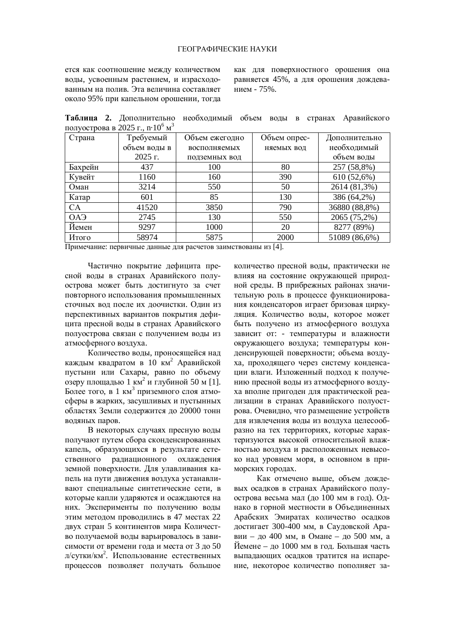ется как соотношение между количеством воды, усвоенным растением, и израсходованным на полив. Эта величина составляет около 95% при капельном орошении, тогла как для поверхностного орошения она равняется 45%, а для орошения дождеванием -  $75%$ .

Таблица 2. Дополнительно необходимый объем воды в странах Аравийского полуострова в 2025 г., n $\cdot 10^6$  м $^3$ 

| Страна                | Требуемый    | Объем ежегодно | Объем опрес- | Дополнительно |
|-----------------------|--------------|----------------|--------------|---------------|
|                       | объем воды в | восполняемых   | няемых вод   | необходимый   |
|                       | $2025$ r.    | подземных вод  |              | объем воды    |
| Бахрейн               | 437          | 100            | 80           | 257 (58,8%)   |
| Кувейт                | 1160         | 160            | 390          | 610 (52,6%)   |
| Оман                  | 3214         | 550            | 50           | 2614 (81,3%)  |
| Катар                 | 601          | 85             | 130          | 386 (64,2%)   |
| <b>CA</b>             | 41520        | 3850           | 790          | 36880 (88,8%) |
| <b>OA<sub>3</sub></b> | 2745         | 130            | 550          | 2065 (75,2%)  |
| Йемен                 | 9297         | 1000           | 20           | 8277 (89%)    |
| Итого                 | 58974        | 5875           | 2000         | 51089 (86,6%) |

Примечание: первичные данные для расчетов заимствованы из [4].

Частично покрытие дефицита пресной воды в странах Аравийского полуострова может быть достигнуто за счет повторного использования промышленных сточных вод после их доочистки. Один из перспективных вариантов покрытия дефицита пресной волы в странах Аравийского полуострова связан с получением воды из атмосферного воздуха.

Количество воды, проносящейся над каждым квадратом в 10 км<sup>2</sup> Аравийской пустыни или Сахары, равно по объему озеру площадью 1 км<sup>2</sup> и глубиной 50 м [1]. Более того, в 1 км<sup>3</sup> приземного слоя атмосферы в жарких, засушливых и пустынных областях Земли содержится до 20000 тонн водяных паров.

В некоторых случаях пресную воды получают путем сбора сконденсированных капель, образующихся в результате естественного радиационного охлаждения земной поверхности. Для улавливания капель на пути движения воздуха устанавливают специальные синтетические сети, в которые капли ударяются и осаждаются на них. Эксперименты по получению воды этим методом проводились в 47 местах 22 двух стран 5 континентов мира Количество получаемой воды варьировалось в зависимости от времени года и места от 3 до 50 л/сутки/км<sup>2</sup>. Использование естественных процессов позволяет получать большое количество пресной воды, практически не влияя на состояние окружающей природной среды. В прибрежных районах значительную роль в процессе функционирования конденсаторов играет бризовая циркуляция. Количество воды, которое может быть получено из атмосферного воздуха зависит от: - температуры и влажности окружающего воздуха; температуры конденсирующей поверхности; объема воздуха, проходящего через систему конденсации влаги. Изложенный подход к получению пресной воды из атмосферного воздуха вполне пригоден для практической реализации в странах Аравийского полуострова. Очевидно, что размещение устройств для извлечения воды из воздуха целесообразно на тех территориях, которые характеризуются высокой относительной влажностью воздуха и расположенных невысоко над уровнем моря, в основном в приморских городах.

Как отмечено выше, объем дождевых осадков в странах Аравийского полуострова весьма мал (до 100 мм в год). Однако в горной местности в Объединенных Арабских Эмиратах количество осадков достигает 300-400 мм, в Саудовской Аравии – до 400 мм, в Омане – до 500 мм, а  $\check{H}$ емене – до 1000 мм в год. Большая часть выпадающих осадков тратится на испарение, некоторое количество пополняет за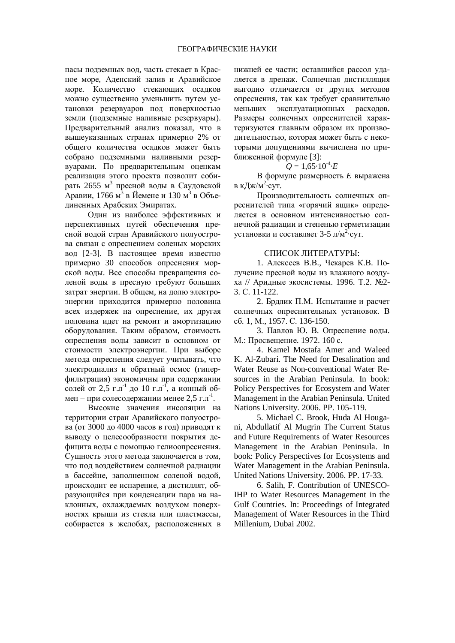пасы подземных вод, часть стекает в Красное море, Аденский залив и Аравийское море. Количество стекающих осалков можно существенно уменьшить путем установки резервуаров под поверхностью земли (подземные наливные резервуары). Предварительный анализ показал, что в вышеуказанных странах примерно 2% от общего количества осадков может быть собрано подземными наливными резервуарами. По предварительным оценкам реализация этого проекта позволит собирать 2655 м<sup>3</sup> пресной воды в Саудовской  $\rm A$ равии, 1766 м $\rm$ <sup>3</sup> в Йемене и 130 м $\rm$ <sup>3</sup> в Объединенных Арабских Эмиратах.

Один из наиболее эффективных и перспективных путей обеспечения пресной водой стран Аравийского полуострова связан с опреснением соленых морских вод [2-3]. В настоящее время известно примерно 30 способов опреснения морской волы. Все способы превращения соленой воды в пресную требуют больших затрат энергии. В общем, на долю электроэнергии приходится примерно половина всех издержек на опреснение, их другая половина идет на ремонт и амортизацию оборудования. Таким образом, стоимость опреснения воды зависит в основном от стоимости электроэнергии. При выборе метода опреснения следует учитывать, что электродиализ и обратный осмос (гиперфильтрация) экономичны при содержании солей от 2,5 г.л<sup>-1</sup> до 10 г.л<sup>-1</sup>, а ионный обмен – при солесодержании менее 2,5 г.л<sup>-1</sup>.

Высокие значения инсоляции на территории стран Аравийского полуострова (от 3000 до 4000 часов в год) приводят к выводу о целесообразности покрытия дефицита воды с помощью гелиоопреснения. Сушность этого метода заключается в том. что под воздействием солнечной радиации в бассейне, заполненном соленой водой, происходит ее испарение, а дистиллят, образующийся при конденсации пара на наклонных, охлаждаемых воздухом поверхностях крыши из стекла или пластмассы, собирается в желобах, расположенных в

нижней ее части; оставшийся рассол удаляется в дренаж. Солнечная дистилляция выгодно отличается от других методов опреснения, так как требует сравнительно меньших эксплуатационных расходов. Размеры солнечных опреснителей характеризуются главным образом их производительностью, которая может быть с некоторыми допущениями вычислена по приближенной формуле [3]:

## $Q = 1,65.10^{4} \cdot E$

В формуле размерность *E* выражена в кДж/м<sup>2</sup>·сут.

Производительность солнечных опреснителей типа «горячий ящик» определяется в основном интенсивностью солнечной радиации и степенью герметизации установки и составляет 3-5 л/м<sup>2</sup>·сут.

#### СПИСОК ЛИТЕРАТУРЫ:

1. Алексеев В.В., Чекарев К.В. Получение пресной воды из влажного воздуха // Аридные экосистемы. 1996. Т.2. №2-3. ɋ. 11-122.

2. Брдлик П.М. Испытание и расчет солнечных опреснительных установок. В c<sub>6</sub>. 1, M., 1957. C. 136-150.

3. Павлов Ю. В. Опреснение воды. М.: Просвещение. 1972. 160 с.

4. Kamel Mostafa Amer and Waleed K. Al-Zubari. The Need for Desalination and Water Reuse as Non-conventional Water Resources in the Arabian Peninsula. In book: Policy Perspectives for Ecosystem and Water Management in the Arabian Peninsula. United Nations University. 2006. PP. 105-119.

5. Michael C. Brook, Huda Al Hougani, Abdullatif Al Mugrin The Current Status and Future Requirements of Water Resources Management in the Arabian Peninsula. In book: Policy Perspectives for Ecosystems and Water Management in the Arabian Peninsula. United Nations University. 2006. PP. 17-33.

6. Salih, F. Contribution of UNESCO-IHP to Water Resources Management in the Gulf Countries. In: Proceedings of Integrated Management of Water Resources in the Third Millenium, Dubai 2002.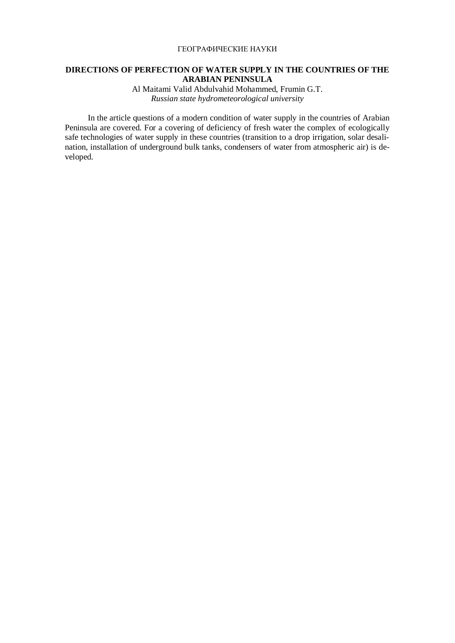### ГЕОГРАФИЧЕСКИЕ НАУКИ

### **DIRECTIONS OF PERFECTION OF WATER SUPPLY IN THE COUNTRIES OF THE ARABIAN PENINSULA**

Al Maitami Valid Abdulvahid Mohammed, Frumin G.T. *Russian state hydrometeorological university* 

In the article questions of a modern condition of water supply in the countries of Arabian Peninsula are covered. For a covering of deficiency of fresh water the complex of ecologically safe technologies of water supply in these countries (transition to a drop irrigation, solar desalination, installation of underground bulk tanks, condensers of water from atmospheric air) is developed.